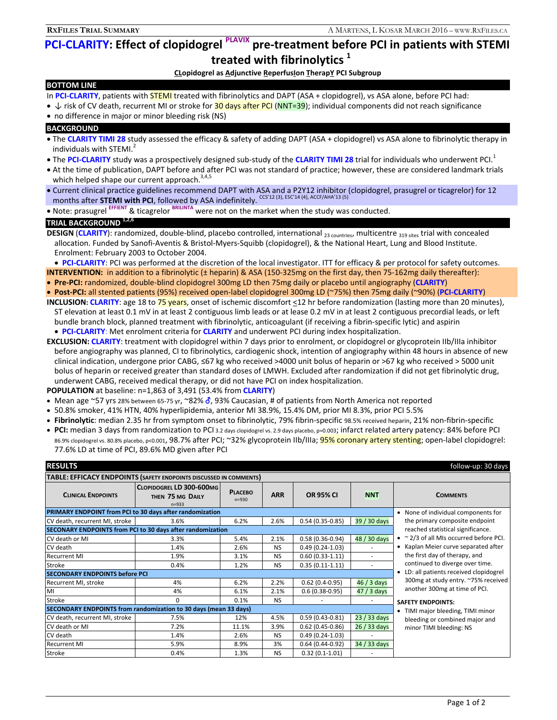# **PCI-CLARITY: Effect of clopidogrel PLAVIX pre-treatment before PCI in patients with STEMI treated with fibrinolytics 1**

## **CLopidogrel as Adjunctive ReperfusIon TherapY PCI Subgroup**

### **BOTTOM LINE**

- In PCI-CLARITY, patients with **STEMI** treated with fibrinolytics and DAPT (ASA + clopidogrel), vs ASA alone, before PCI had:
- ↓ risk of CV death, recurrent MI or stroke for 30 days after PCI (NNT=39); individual components did not reach significance
- no difference in major or minor bleeding risk (NS)

#### **BACKGROUND**

- The **CLARITY TIMI 28** study assessed the efficacy & safety of adding DAPT (ASA + clopidogrel) vs ASA alone to fibrinolytic therapy in individuals with STEMI.<sup>2</sup>
- The PCI-CLARITY study was a prospectively designed sub-study of the CLARITY TIMI 28 trial for individuals who underwent PCI.<sup>1</sup>
- At the time of publication, DAPT before and after PCI was not standard of practice; however, these are considered landmark trials which helped shape our current approach. $3,4,5$
- Current clinical practice guidelines recommend DAPT with ASA and a P2Y12 inhibitor (clopidogrel, prasugrel or ticagrelor) for 12 months after **STEMI with PCI**, followed by ASA indefinitely. CCS'12 (3), ESC'14 (4), ACCF/AHA'13 (5)
- Note: prasugrel **EFFIENT** & ticagrelor **BRILINTA** were not on the market when the study was conducted.

# **TRIAL BACKGROUND 1,2,6**

- **DESIGN (CLARITY):** randomized, double-blind, placebo controlled, international <sub>23 countries</sub>, multicentre <sub>319 sites</sub> trial with concealed allocation. Funded by Sanofi-Aventis & Bristol-Myers-Squibb (clopidogrel), & the National Heart, Lung and Blood Institute. Enrolment: February 2003 to October 2004.
- **PCI-CLARITY**: PCI was performed at the discretion of the local investigator. ITT for efficacy & per protocol for safety outcomes.
- **INTERVENTION:** in addition to a fibrinolytic (± heparin) & ASA (150-325mg on the first day, then 75-162mg daily thereafter):
- **Pre-PCI:** randomized, double-blind clopidogrel 300mg LD then 75mg daily or placebo until angiography (**CLARITY**)
- **Post-PCI:** all stented patients (95%) received open-label clopidogrel 300mg LD (~75%) then 75mg daily (~90%) (**PCI-CLARITY**)
- **INCLUSION: CLARITY**: age 18 to 75 years, onset of ischemic discomfort <12 hr before randomization (lasting more than 20 minutes), ST elevation at least 0.1 mV in at least 2 contiguous limb leads or at lease 0.2 mV in at least 2 contiguous precordial leads, or left bundle branch block, planned treatment with fibrinolytic, anticoagulant (if receiving a fibrin-specific lytic) and aspirin **PCI-CLARITY**: Met enrolment criteria for **CLARITY** and underwent PCI during index hospitalization.
- **EXCLUSION: CLARITY**: treatment with clopidogrel within 7 days prior to enrolment, or clopidogrel or glycoprotein IIb/IIIa inhibitor before angiography was planned, CI to fibrinolytics, cardiogenic shock, intention of angiography within 48 hours in absence of new clinical indication, undergone prior CABG, ≤67 kg who received >4000 unit bolus of heparin or >67 kg who received > 5000 unit bolus of heparin or received greater than standard doses of LMWH. Excluded after randomization if did not get fibrinolytic drug, underwent CABG, received medical therapy, or did not have PCI on index hospitalization.
- **POPULATION** at baseline: n=1,863 of 3,491 (53.4% from **CLARITY**)
- Mean age ~57 yrs 28% between 65-75 yr, ~82%  $\delta$ , 93% Caucasian, # of patients from North America not reported
- 50.8% smoker, 41% HTN, 40% hyperlipidemia, anterior MI 38.9%, 15.4% DM, prior MI 8.3%, prior PCI 5.5%
- **Fibrinolytic**: median 2.35 hr from symptom onset to fibrinolytic, 79% fibrin-specific 98.5% received heparin, 21% non-fibrin-specific
- **PCI:** median 3 days from randomization to PCI 3.2 days clopidogrel vs. 2.9 days placebo, p=0.003; infarct related artery patency: 84% before PCI 86.9% clopidogrel vs. 80.8% placebo, p<0.001, 98.7% after PCI; ~32% glycoprotein IIb/IIIa; 95% coronary artery stenting; open-label clopidogrel: 77.6% LD at time of PCI, 89.6% MD given after PCI

| <b>RESULTS</b><br>follow-up: 30 days                               |                                                           |                             |            |                     |                                   |                                                                                                                          |  |
|--------------------------------------------------------------------|-----------------------------------------------------------|-----------------------------|------------|---------------------|-----------------------------------|--------------------------------------------------------------------------------------------------------------------------|--|
| TABLE: EFFICACY ENDPOINTS (SAFETY ENDPOINTS DISCUSSED IN COMMENTS) |                                                           |                             |            |                     |                                   |                                                                                                                          |  |
| <b>CLINICAL ENDPOINTS</b>                                          | CLOPIDOGREL LD 300-600MG<br>THEN 75 MG DAILY<br>$n = 933$ | <b>PLACEBO</b><br>$n = 930$ | <b>ARR</b> | <b>OR 95% CI</b>    | <b>NNT</b>                        | <b>COMMENTS</b>                                                                                                          |  |
| PRIMARY ENDPOINT from PCI to 30 days after randomization           |                                                           |                             |            |                     |                                   | • None of individual components for                                                                                      |  |
| CV death, recurrent MI, stroke                                     | 3.6%                                                      | 6.2%                        | 2.6%       | $0.54(0.35-0.85)$   | 39 / 30 days                      | the primary composite endpoint                                                                                           |  |
| SECONARY ENDPOINTS from PCI to 30 days after randomization         |                                                           |                             |            |                     | reached statistical significance. |                                                                                                                          |  |
| CV death or MI                                                     | 3.3%                                                      | 5.4%                        | 2.1%       | $0.58(0.36-0.94)$   | 48 / 30 days                      | $\bullet$ ~ 2/3 of all MIs occurred before PCI.<br>• Kaplan Meier curve separated after<br>the first day of therapy, and |  |
| CV death                                                           | 1.4%                                                      | 2.6%                        | <b>NS</b>  | $0.49(0.24-1.03)$   |                                   |                                                                                                                          |  |
| <b>Recurrent MI</b>                                                | 1.9%                                                      | 3.1%                        | <b>NS</b>  | $0.60(0.33-1.11)$   | ٠                                 |                                                                                                                          |  |
| Stroke                                                             | 0.4%                                                      | 1.2%                        | <b>NS</b>  | $0.35(0.11-1.11)$   | $\sim$                            | continued to diverge over time.                                                                                          |  |
| <b>SECONDARY ENDPOINTS before PCI</b>                              |                                                           |                             |            |                     |                                   | • LD: all patients received clopidogrel                                                                                  |  |
| Recurrent MI, stroke                                               | 4%                                                        | 6.2%                        | 2.2%       | $0.62(0.4-0.95)$    | 46 / 3 days                       | 300mg at study entry. ~75% received                                                                                      |  |
| MI                                                                 | 4%                                                        | 6.1%                        | 2.1%       | $0.6(0.38 - 0.95)$  | 47 / 3 days                       | another 300mg at time of PCI.<br><b>SAFETY ENDPOINTS:</b>                                                                |  |
| Stroke                                                             | 0                                                         | 0.1%                        | <b>NS</b>  |                     |                                   |                                                                                                                          |  |
| SECONDARY ENDPOINTS from randomization to 30 days (mean 33 days)   |                                                           |                             |            |                     |                                   | • TIMI major bleeding, TIMI minor                                                                                        |  |
| CV death, recurrent MI, stroke                                     | 7.5%                                                      | 12%                         | 4.5%       | $0.59(0.43 - 0.81)$ | 23 / 33 days                      | bleeding or combined major and<br>minor TIMI bleeding: NS                                                                |  |
| CV death or MI                                                     | 7.2%                                                      | 11.1%                       | 3.9%       | $0.62(0.45-0.86)$   | 26 / 33 days                      |                                                                                                                          |  |
| CV death                                                           | 1.4%                                                      | 2.6%                        | <b>NS</b>  | $0.49(0.24-1.03)$   |                                   |                                                                                                                          |  |
| <b>Recurrent MI</b>                                                | 5.9%                                                      | 8.9%                        | 3%         | $0.64(0.44-0.92)$   | 34 / 33 days                      |                                                                                                                          |  |
| Stroke                                                             | 0.4%                                                      | 1.3%                        | <b>NS</b>  | $0.32(0.1-1.01)$    |                                   |                                                                                                                          |  |